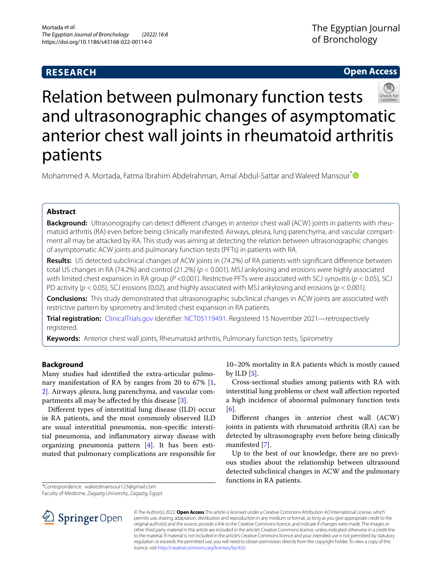## **RESEARCH**

## **Open Access**



# Relation between pulmonary function tests and ultrasonographic changes of asymptomatic anterior chest wall joints in rheumatoid arthritis patients

Mohammed A. Mortada, Fatma Ibrahim Abdelrahman, Amal Abdul-Sattar and Waleed Mansour<sup>[\\*](http://orcid.org/0000-0001-9115-2197)</sup> 
<sup>●</sup>

## **Abstract**

**Background:** Ultrasonography can detect different changes in anterior chest wall (ACW) joints in patients with rheumatoid arthritis (RA) even before being clinically manifested. Airways, pleura, lung parenchyma, and vascular compart‑ ment all may be attacked by RA. This study was aiming at detecting the relation between ultrasonographic changes of asymptomatic ACW joints and pulmonary function tests (PFTs) in patients with RA.

**Results:** US detected subclinical changes of ACW joints in (74.2%) of RA patients with signifcant diference between total US changes in RA (74.2%) and control (21.2%) (*p* < 0.001). MSJ ankylosing and erosions were highly associated with limited chest expansion in RA group (*P* <0.001). Restrictive PFTs were associated with SCJ synovitis (*p* < 0.05), SCJ PD activity (*p* < 0.05), SCJ erosions (0.02), and highly associated with MSJ ankylosing and erosions (*p* < 0.001).

**Conclusions:** This study demonstrated that ultrasonographic subclinical changes in ACW joints are associated with restrictive pattern by spirometry and limited chest expansion in RA patients.

**Trial registration:** [ClinicalTrials.gov](http://clinicaltrials.gov) Identifer: [NCT05119491.](https://clinicaltrials.gov/ct2/show/NCT05119491) Registered 15 November 2021—retrospectively registered.

**Keywords:** Anterior chest wall joints, Rheumatoid arthritis, Pulmonary function tests, Spirometry

## **Background**

Many studies had identifed the extra-articular pulmonary manifestation of RA by ranges from 20 to 67% [\[1](#page-4-0), [2\]](#page-4-1). Airways ,pleura, lung parenchyma, and vascular compartments all may be afected by this disease [[3\]](#page-4-2).

Diferent types of interstitial lung disease (ILD) occur in RA patients, and the most commonly observed ILD are usual interstitial pneumonia, non-specifc interstitial pneumonia, and infammatory airway disease with organizing pneumonia pattern [\[4\]](#page-4-3). It has been estimated that pulmonary complications are responsible for

\*Correspondence: waleedmansour123@gmail.com

Faculty of Medicine, Zagazig University, Zagazig, Egypt



© The Author(s) 2022. **Open Access** This article is licensed under a Creative Commons Attribution 4.0 International License, which permits use, sharing, adaptation, distribution and reproduction in any medium or format, as long as you give appropriate credit to the original author(s) and the source, provide a link to the Creative Commons licence, and indicate if changes were made. The images or other third party material in this article are included in the article's Creative Commons licence, unless indicated otherwise in a credit line to the material. If material is not included in the article's Creative Commons licence and your intended use is not permitted by statutory regulation or exceeds the permitted use, you will need to obtain permission directly from the copyright holder. To view a copy of this licence, visit [http://creativecommons.org/licenses/by/4.0/.](http://creativecommons.org/licenses/by/4.0/)

10–20% mortality in RA patients which is mostly caused by ILD  $[5]$  $[5]$ .

Cross-sectional studies among patients with RA with interstitial lung problems or chest wall afection reported a high incidence of abnormal pulmonary function tests [[6\]](#page-4-5).

Diferent changes in anterior chest wall (ACW) joints in patients with rheumatoid arthritis (RA) can be detected by ultrasonography even before being clinically manifested [\[7](#page-4-6)].

Up to the best of our knowledge, there are no previous studies about the relationship between ultrasound detected subclinical changes in ACW and the pulmonary functions in RA patients.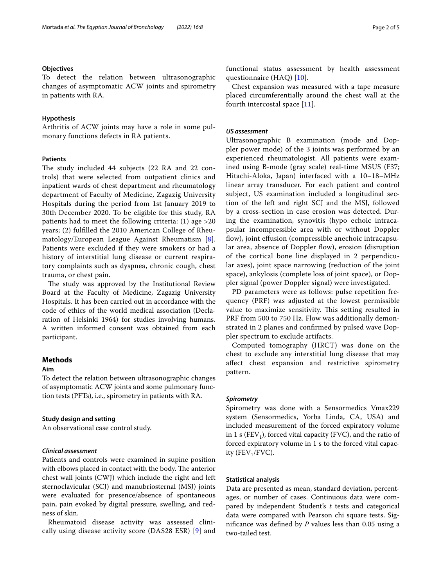## **Objectives**

To detect the relation between ultrasonographic changes of asymptomatic ACW joints and spirometry in patients with RA.

## **Hypothesis**

Arthritis of ACW joints may have a role in some pulmonary functions defects in RA patients.

## **Patients**

The study included 44 subjects (22 RA and 22 controls) that were selected from outpatient clinics and inpatient wards of chest department and rheumatology department of Faculty of Medicine, Zagazig University Hospitals during the period from 1st January 2019 to 30th December 2020. To be eligible for this study, RA patients had to meet the following criteria: (1) age >20 years; (2) fulflled the 2010 American College of Rheumatology/European League Against Rheumatism [[8\]](#page-4-7). Patients were excluded if they were smokers or had a history of interstitial lung disease or current respiratory complaints such as dyspnea, chronic cough, chest trauma, or chest pain.

The study was approved by the Institutional Review Board at the Faculty of Medicine, Zagazig University Hospitals. It has been carried out in accordance with the code of ethics of the world medical association (Declaration of Helsinki 1964) for studies involving humans. A written informed consent was obtained from each participant.

## **Methods**

#### **Aim**

To detect the relation between ultrasonographic changes of asymptomatic ACW joints and some pulmonary function tests (PFTs), i.e., spirometry in patients with RA.

## **Study design and setting**

An observational case control study.

## *Clinical assessment*

Patients and controls were examined in supine position with elbows placed in contact with the body. The anterior chest wall joints (CWJ) which include the right and left sternoclavicular (SCJ) and manubriosternal (MSJ) joints were evaluated for presence/absence of spontaneous pain, pain evoked by digital pressure, swelling, and redness of skin.

Rheumatoid disease activity was assessed clinically using disease activity score (DAS28 ESR) [\[9](#page-4-8)] and functional status assessment by health assessment questionnaire (HAQ) [[10](#page-4-9)].

Chest expansion was measured with a tape measure placed circumferentially around the chest wall at the fourth intercostal space [[11\]](#page-4-10).

## *US assessment*

Ultrasonographic B examination (mode and Doppler power mode) of the 3 joints was performed by an experienced rheumatologist. All patients were examined using B-mode (gray scale) real-time MSUS (F37; Hitachi-Aloka, Japan) interfaced with a 10–18–MHz linear array transducer. For each patient and control subject, US examination included a longitudinal section of the left and right SCJ and the MSJ, followed by a cross-section in case erosion was detected. During the examination, synovitis (hypo echoic intracapsular incompressible area with or without Doppler flow), joint effusion (compressible anechoic intracapsular area, absence of Doppler flow), erosion (disruption of the cortical bone line displayed in 2 perpendicular axes), joint space narrowing (reduction of the joint space), ankylosis (complete loss of joint space), or Doppler signal (power Doppler signal) were investigated.

PD parameters were as follows: pulse repetition frequency (PRF) was adjusted at the lowest permissible value to maximize sensitivity. This setting resulted in PRF from 500 to 750 Hz. Flow was additionally demonstrated in 2 planes and confrmed by pulsed wave Doppler spectrum to exclude artifacts.

Computed tomography (HRCT) was done on the chest to exclude any interstitial lung disease that may afect chest expansion and restrictive spirometry pattern.

## *Spirometry*

Spirometry was done with a Sensormedics Vmax229 system (Sensormedics, Yorba Linda, CA, USA) and included measurement of the forced expiratory volume in 1 s (FEV<sub>1</sub>), forced vital capacity (FVC), and the ratio of forced expiratory volume in 1 s to the forced vital capacity ( $FEV_1/FVC$ ).

### **Statistical analysis**

Data are presented as mean, standard deviation, percentages, or number of cases. Continuous data were compared by independent Student's *t* tests and categorical data were compared with Pearson chi square tests. Signifcance was defned by *P* values less than 0.05 using a two-tailed test.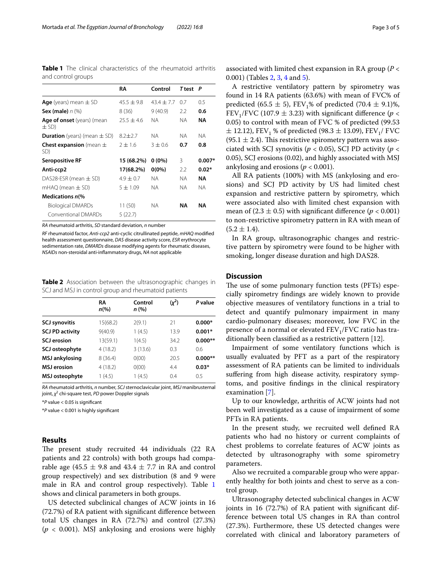<span id="page-2-0"></span>**Table 1** The clinical characteristics of the rheumatoid arthritis and control groups

|                                           | RA           | Control        | <b>T</b> test | P        |
|-------------------------------------------|--------------|----------------|---------------|----------|
| <b>Age</b> (years) mean $\pm$ SD          | $45.5 + 9.8$ | $43.4 \pm 7.7$ | 0.7           | 0.5      |
| Sex (male) $n \, (\%)$                    | 8 (36)       | 9(40.9)        | 2.2           | 0.6      |
| Age of onset (years) (mean<br>$\pm$ SD)   | $25.5 + 4.6$ | NА             | ΝA            | ΝA       |
| <b>Duration</b> (years) (mean $\pm$ SD)   | $8.2 + 2.7$  | NА             | <b>NA</b>     | NA.      |
| <b>Chest expansion</b> (mean $\pm$<br>SD) | $2 + 1.6$    | $3 + 0.6$      | 0.7           | 0.8      |
| <b>Seropositive RF</b>                    | 15 (68.2%)   | $0(0\%)$       | 3             | $0.007*$ |
| Anti-ccp2                                 | 17(68.2%)    | $0(0\%)$       | 2.2           | $0.02*$  |
| DAS28-ESR (mean $\pm$ SD)                 | $4.9 + 0.7$  | <b>NA</b>      | NA.           | ΝA       |
| $mHAQ$ (mean $\pm$ SD)                    | $5 + 1.09$   | NA.            | <b>NA</b>     | NA.      |
| Medications n(%                           |              |                |               |          |
| <b>Biological DMARDs</b>                  | 11 (50)      | <b>NA</b>      | NΑ            | ΝA       |
| Conventional DMARDs                       | 5(22.7)      |                |               |          |

*RA* rheumatoid arthritis, *SD* standard deviation, *n* number

*RF* rheumatoid factor, *Anti-ccp2* anti-cyclic citrullinated peptide, *mHAQ* modifed health assessment questionnaire, *DAS* disease activity score, *ESR* erythrocyte sedimentation rate, *DMARDs* disease modifying agents for rheumatic diseases, *NSAIDs* non-steroidal anti-infammatory drugs, *NA* not applicable

<span id="page-2-1"></span>**Table 2** Association between the ultrasonographic changes in SCJ and MSJ in control group and rheumatoid patients

|                        | RA<br>$n\left(\%\right)$ | Control<br>n (%) | $(x^2)$ | P value   |
|------------------------|--------------------------|------------------|---------|-----------|
| <b>SCJ synovitis</b>   | 15(68.2)                 | 2(9.1)           | 21      | $0.000*$  |
| <b>SCJ PD activity</b> | 9(40.9)                  | 1(4.5)           | 13.9    | $0.001*$  |
| <b>SCJ</b> erosion     | 13(59.1)                 | 1(4.5)           | 34.2    | $0.000**$ |
| SCJ osteophyte         | 4(18.2)                  | 3(13.6)          | 0.3     | 06        |
| <b>MSJ</b> ankylosing  | 8(36.4)                  | O(00)            | 20.5    | $0.000**$ |
| <b>MSJ</b> erosion     | 4(18.2)                  | O(00)            | 4.4     | $0.03*$   |
| MSJ osteophyte         | 1(4.5)                   | 1(4.5)           | 0.4     | 0.5       |

*RA* rheumatoid arthritis, *n* number, *SCJ* sternoclavicular joint, *MSJ* manibrusternal joint, χ<sup>2</sup> chi-square test, PD power Doppler signals

\**P* value < 0.05 is signifcant

\**P* value < 0.001 is highly signifcant

## **Results**

The present study recruited 44 individuals (22 RA patients and 22 controls) with both groups had comparable age (45.5  $\pm$  9.8 and 43.4  $\pm$  7.7 in RA and control group respectively) and sex distribution (8 and 9 were male in RA and control group respectively). Table [1](#page-2-0) shows and clinical parameters in both groups.

US detected subclinical changes of ACW joints in 16 (72.7%) of RA patient with signifcant diference between total US changes in RA (72.7%) and control (27.3%) (*p* < 0.001). MSJ ankylosing and erosions were highly associated with limited chest expansion in RA group (*P* < 0.001) (Tables [2,](#page-2-1) [3](#page-3-0), [4](#page-3-1) and [5](#page-3-2)).

A restrictive ventilatory pattern by spirometry was found in 14 RA patients (63.6%) with mean of FVC% of predicted (65.5  $\pm$  5), FEV<sub>1</sub>% of predicted (70.4  $\pm$  9.1)%, FEV<sub>1</sub>/FVC (107.9  $\pm$  3.23) with significant difference ( $p$  < 0.05) to control with mean of FVC % of predicted (99.53  $\pm$  12.12), FEV<sub>1</sub> % of predicted (98.3  $\pm$  13.09), FEV<sub>1</sub>/ FVC  $(95.1 \pm 2.4)$ . This restrictive spirometry pattern was associated with SCJ synovitis ( $p < 0.05$ ), SCJ PD activity ( $p <$ 0.05), SCJ erosions (0.02), and highly associated with MSJ ankylosing and erosions ( $p < 0.001$ ).

All RA patients (100%) with MS (ankylosing and erosions) and SCJ PD activity by US had limited chest expansion and restrictive pattern by spirometry, which were associated also with limited chest expansion with mean of  $(2.3 \pm 0.5)$  with significant difference  $(p < 0.001)$ to non-restrictive spirometry pattern in RA with mean of  $(5.2 \pm 1.4).$ 

In RA group, ultrasonographic changes and restrictive pattern by spirometry were found to be higher with smoking, longer disease duration and high DAS28.

## **Discussion**

The use of some pulmonary function tests (PFTs) especially spirometry fndings are widely known to provide objective measures of ventilatory functions in a trial to detect and quantify pulmonary impairment in many cardio-pulmonary diseases; moreover, low FVC in the presence of a normal or elevated  $FEV_1/FVC$  ratio has traditionally been classifed as a restrictive pattern [12].

Impairment of some ventilatory functions which is usually evaluated by PFT as a part of the respiratory assessment of RA patients can be limited to individuals suffering from high disease activity, respiratory symptoms, and positive fndings in the clinical respiratory examination [\[7\]](#page-4-6).

Up to our knowledge, arthritis of ACW joints had not been well investigated as a cause of impairment of some PFTs in RA patients.

In the present study, we recruited well defned RA patients who had no history or current complaints of chest problems to correlate features of ACW joints as detected by ultrasonography with some spirometry parameters.

Also we recruited a comparable group who were apparently healthy for both joints and chest to serve as a control group.

Ultrasonography detected subclinical changes in ACW joints in 16 (72.7%) of RA patient with signifcant difference between total US changes in RA than control (27.3%). Furthermore, these US detected changes were correlated with clinical and laboratory parameters of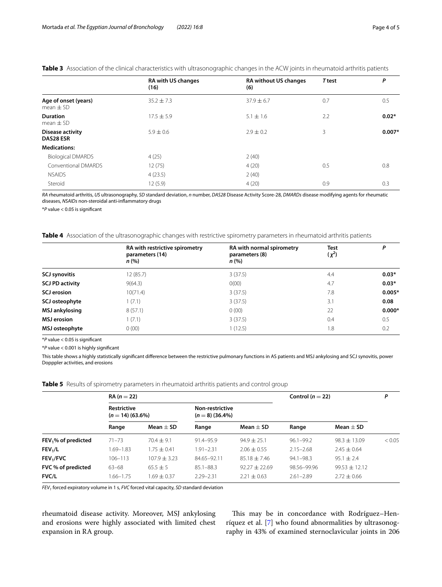|                                                    | <b>RA with US changes</b><br>(16) | <b>RA without US changes</b><br><b>T</b> test<br>(6) |     | P        |
|----------------------------------------------------|-----------------------------------|------------------------------------------------------|-----|----------|
| Age of onset (years)<br>mean $\pm$ SD              | $35.2 \pm 7.3$                    | $37.9 \pm 6.7$                                       | 0.7 | 0.5      |
| <b>Duration</b><br>$17.5 \pm 5.9$<br>mean $\pm$ SD |                                   | $5.1 \pm 1.6$                                        | 2.2 | $0.02*$  |
| <b>Disease activity</b><br><b>DAS28 ESR</b>        | $5.9 \pm 0.6$                     | $2.9 \pm 0.2$                                        | 3   | $0.007*$ |
| <b>Medications:</b>                                |                                   |                                                      |     |          |
| <b>Biological DMARDS</b>                           | 4(25)                             | 2(40)                                                |     |          |
| Conventional DMARDS                                | 12(75)                            | 4(20)                                                | 0.5 | 0.8      |
| <b>NSAIDS</b>                                      | 4(23.5)                           | 2(40)                                                |     |          |
| Steroid                                            | 12(5.9)                           | 4(20)                                                | 0.9 | 0.3      |

## <span id="page-3-0"></span>**Table 3** Association of the clinical characteristics with ultrasonographic changes in the ACW joints in rheumatoid arthritis patients

*RA* rheumatoid arthritis, *US* ultrasonography, *SD* standard deviation, *n* number, *DAS28* Disease Activity Score-28, *DMARDs* disease modifying agents for rheumatic diseases, *NSAIDs* non-steroidal anti-infammatory drugs

\**P* value < 0.05 is signifcant

## <span id="page-3-1"></span>**Table 4** Association of the ultrasonographic changes with restrictive spirometry parameters in rheumatoid arthritis patients

|                        | RA with restrictive spirometry<br>parameters (14)<br>$n$ (%) | RA with normal spirometry<br>parameters (8)<br>n (%) | <b>Test</b><br>$(\chi^2)$ | P        |
|------------------------|--------------------------------------------------------------|------------------------------------------------------|---------------------------|----------|
| <b>SCJ synovitis</b>   | 12(85.7)                                                     | 3(37.5)                                              | 4.4                       | $0.03*$  |
| <b>SCJ PD activity</b> | 9(64.3)                                                      | O(00)                                                | 4.7                       | $0.03*$  |
| <b>SCJ</b> erosion     | 10(71.4)                                                     | 3(37.5)                                              | 7.8                       | $0.005*$ |
| SCJ osteophyte         | 1(7.1)                                                       | 3(37.5)                                              | 3.1                       | 0.08     |
| <b>MSJ ankylosing</b>  | 8(57.1)                                                      | 0(00)                                                | 22                        | $0.000*$ |
| <b>MSJ</b> erosion     | 1(7.1)                                                       | 3(37.5)                                              | 0.4                       | 0.5      |
| MSJ osteophyte         | 0(00)                                                        | (12.5)                                               | 1.8                       | 0.2      |

\**P* value < 0.05 is signifcant

\**P* value < 0.001 is highly signifcant

This table shows a highly statistically signifcant diference between the restrictive pulmonary functions in AS patients and MSJ ankylosing and SCJ synovitis, power Dopppler activities, and erosions

<span id="page-3-2"></span>**Table 5** Results of spirometry parameters in rheumatoid arthritis patients and control group

|                                    | $RA (n = 22)$                            |                                 |                                      | Control ( $n = 22$ )               |                              | P                                    |        |
|------------------------------------|------------------------------------------|---------------------------------|--------------------------------------|------------------------------------|------------------------------|--------------------------------------|--------|
|                                    | <b>Restrictive</b><br>$(n = 14)$ (63.6%) |                                 | Non-restrictive<br>$(n = 8)$ (36.4%) |                                    |                              |                                      |        |
|                                    | Range                                    | Mean $\pm$ SD                   | Range                                | Mean $\pm$ SD                      | Range                        | Mean $\pm$ SD                        |        |
| $FEV1$ % of predicted              | $71 - 73$                                | $70.4 + 9.1$                    | 91.4-95.9                            | $94.9 \pm 25.1$                    | $96.1 - 99.2$                | $98.3 \pm 13.09$                     | < 0.05 |
| FEV <sub>1</sub> /L                | 1.69-1.83                                | $1.75 + 0.41$                   | $1.91 - 2.31$                        | $2.06 \pm 0.55$                    | $2.15 - 2.68$                | $2.45 \pm 0.64$                      |        |
| FEV <sub>1</sub> /FVC              | $106 - 113$                              | $107.9 + 3.23$                  | 84.65-92.11                          | $85.18 \pm 7.46$                   | $94.1 - 98.3$                | $95.1 \pm 2.4$                       |        |
| FVC % of predicted<br><b>FVC/L</b> | $63 - 68$<br>1.66-1.75                   | $65.5 \pm 5$<br>$1.69 \pm 0.37$ | $85.1 - 88.3$<br>$2.29 - 2.31$       | $92.27 + 22.69$<br>$2.21 \pm 0.63$ | 98.56-99.96<br>$2.61 - 2.89$ | $99.53 \pm 12.12$<br>$2.72 \pm 0.66$ |        |

*FEV<sub>1</sub>* forced expiratory volume in 1 s, *FVC* forced vital capacity, *SD* standard deviation

rheumatoid disease activity. Moreover, MSJ ankylosing and erosions were highly associated with limited chest expansion in RA group.

This may be in concordance with Rodríguez-Henríquez et al. [\[7](#page-4-6)] who found abnormalities by ultrasonography in 43% of examined sternoclavicular joints in 206